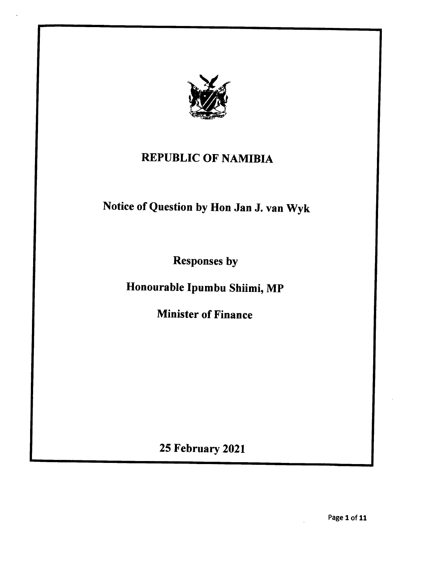

## REPUBLIC OF NAMIBIA

## Notice of Question by Hon Jan J. van Wyk

Responses by

Honourable Ipumbu Shiimi, MP

Minister of Finance

25 February 2021

Page 1 of 11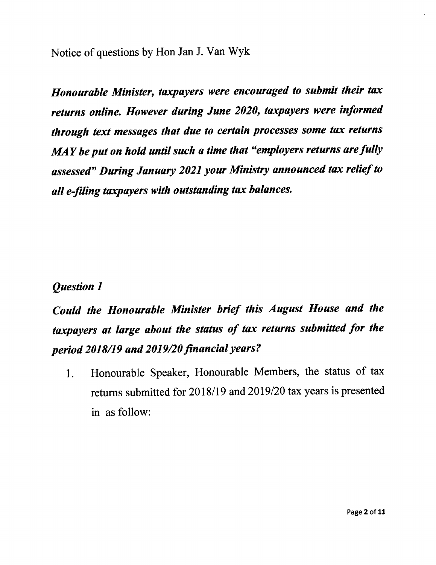Notice of questions by Hon Jan 1. Van Wyk

*Honourable Minister, taxpayers were encouraged to submit their tax returns online. However during June 2020, taxpayers were informed through text messages that due to certain processes some tax returns MAY beput on hold until such a time that "employers returns arefully assessed" During January 2021 your Ministry announced tax relief to all e-filing taxpayers with outstanding tax balances.*

## *Question 1*

*Could the Honourable Minister brief this August House and the taxpayers at large about the status of tax returns submitted for the period 2018119and 2019120jinancial years* ?

1. Honourable Speaker, Honourable Members, the status of tax returns submitted for 2018/19 and *2019/20* tax years is presented in as follow: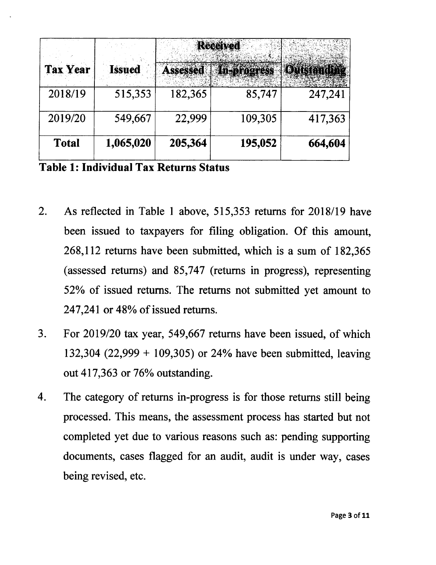| <b>Tax Year</b> | <b>Issued</b> | <b>Assessed</b> | <b>Received</b><br><b>In-progress</b> | Outstandy |
|-----------------|---------------|-----------------|---------------------------------------|-----------|
| 2018/19         | 515,353       | 182,365         | 85,747                                | 247,241   |
| 2019/20         | 549,667       | 22,999          | 109,305                               | 417,363   |
| <b>Total</b>    | 1,065,020     | 205,364         | 195,052                               | 664,604   |

**Table 1: Individual Tax Returns Status**

- 2. As reflected in Table 1 above, 515,353 returns for *2018/19* have been issued to taxpayers for filing obligation. Of this amount, 268,112 returns have been submitted, which is a sum of 182,365 (assessed returns) and 85,747 (returns in progress), representing 52% of issued returns. The returns not submitted yet amount to 247,241 or 48% of issued returns.
- 3. For *2019/20* tax year, 549,667 returns have been issued, of which 132,304 (22,999 + 109,305) or 24% have been submitted, leaving out 417,363 or 76% outstanding.
- 4. The category of returns in-progress is for those returns still being processed. This means, the assessment process has started but not completed yet due to various reasons such as: pending supporting documents, cases flagged for an audit, audit is under way, cases being revised, etc.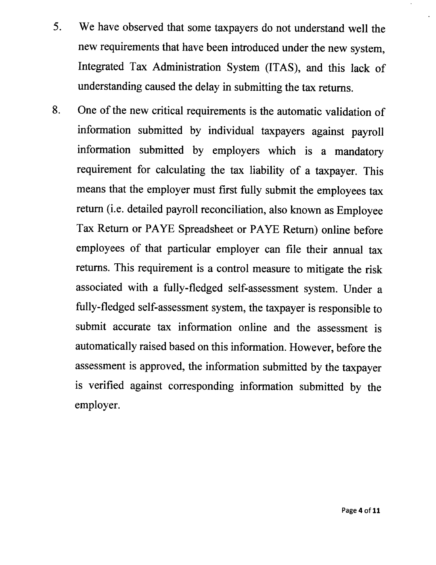- 5. We have observed that some taxpayers do not understand well the new requirements that have been introduced under the new system, Integrated Tax Administration System (ITAS), and this lack of understanding caused the delay in submitting the tax returns.
- 8. One of the new critical requirements is the automatic validation of information submitted by individual taxpayers against payroll information submitted by employers which is a mandatory requirement for calculating the tax liability of a taxpayer. This means that the employer must first fully submit the employees tax return (i.e. detailed payroll reconciliation, also known as Employee Tax Return or PAYE Spreadsheet or PAYE Return) online before employees of that particular employer can file their annual tax returns. This requirement is a control measure to mitigate the risk associated with a fully-fledged self-assessment system. Under a fully-fledged self-assessment system, the taxpayer is responsible to submit accurate tax information online and the assessment is automatically raised based on this information. However, before the assessment is approved, the information submitted by the taxpayer is verified against corresponding information submitted by the employer.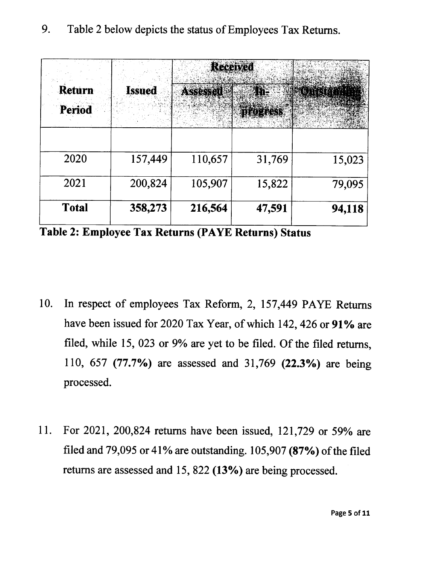

Table 2: Employee Tax Returns (PAYE Returns) Status

- 10. In respect of employees Tax Reform, 2, 157,449 PAYE Returns have been issued for 2020 Tax Year, of which 142, 426 or 91% are filed, while 15, 023 or 9% are yet to be filed. Of the filed returns, 110, 657 (77.7%) are assessed and 31,769 (22.3%) are being processed.
- 11. For 2021, 200,824 returns have been issued, 121,729 or 59% are filed and 79,095 or 41% are outstanding. 105,907 (87%) of the filed returns are assessed and 15, 822 (13%) are being processed.